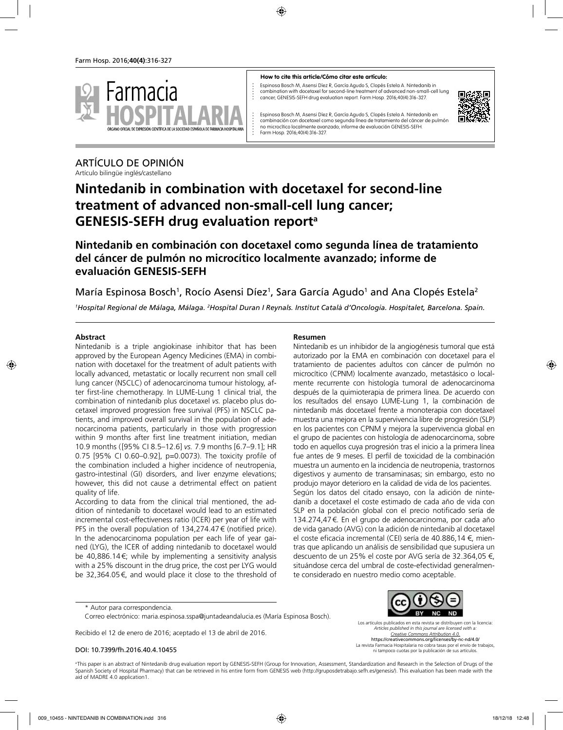

#### **How to cite this article/Cómo citar este artículo:**

Espinosa Bosch M, Asensi Díez R, García Agudo S, Clopés Estela A. Nintedanib in combination with docetaxel for second-line treatment of advanced non-small-cell lung cancer; GENESIS-SEFH drug evaluation report. Farm Hosp. 2016;40(4):316-327.



Espinosa Bosch M, Asensi Díez R, García Agudo S, Clopés Estela A. Nintedanib en combinación con docetaxel como segunda línea de tratamiento del cáncer de pulmón no microcítico localmente avanzado; informe de evaluación GENESIS-SEFH. Farm Hosp. 2016;40(4):316-327.

# ARTÍCULO DE OPINIÓN

Artículo bilingüe inglés/castellano

# **Nintedanib in combination with docetaxel for second-line treatment of advanced non-small-cell lung cancer; GENESIS-SEFH drug evaluation reporta**

**Nintedanib en combinación con docetaxel como segunda línea de tratamiento del cáncer de pulmón no microcítico localmente avanzado; informe de evaluación GENESIS-SEFH**

### María Espinosa Bosch<sup>1</sup>, Rocío Asensi Díez<sup>1</sup>, Sara García Agudo<sup>1</sup> and Ana Clopés Estela<sup>2</sup>

*1 Hospital Regional de Málaga, Málaga. 2 Hospital Duran I Reynals. Institut Català d'Oncologia. Hospitalet, Barcelona. Spain.*

### **Abstract**

Nintedanib is a triple angiokinase inhibitor that has been approved by the European Agency Medicines (EMA) in combination with docetaxel for the treatment of adult patients with locally advanced, metastatic or locally recurrent non small cell lung cancer (NSCLC) of adenocarcinoma tumour histology, after first-line chemotherapy. In LUME-Lung 1 clinical trial, the combination of nintedanib plus docetaxel *vs.* placebo plus docetaxel improved progression free survival (PFS) in NSCLC patients, and improved overall survival in the population of adenocarcinoma patients, particularly in those with progression within 9 months after first line treatment initiation, median 10.9 months ([95% CI 8.5–12.6] *vs.* 7.9 months [6.7–9.1]; HR 0.75 [95% CI 0.60–0.92], p=0.0073). The toxicity profile of the combination included a higher incidence of neutropenia, gastro-intestinal (GI) disorders, and liver enzyme elevations; however, this did not cause a detrimental effect on patient quality of life.

According to data from the clinical trial mentioned, the addition of nintedanib to docetaxel would lead to an estimated incremental cost-effectiveness ratio (ICER) per year of life with PFS in the overall population of 134,274.47€ (notified price). In the adenocarcinoma population per each life of year gained (LYG), the ICER of adding nintedanib to docetaxel would be 40,886.14€; while by implementing a sensitivity analysis with a 25% discount in the drug price, the cost per LYG would be 32,364.05€, and would place it close to the threshold of

### **Resumen**

Nintedanib es un inhibidor de la angiogénesis tumoral que está autorizado por la EMA en combinación con docetaxel para el tratamiento de pacientes adultos con cáncer de pulmón no microcítico (CPNM) localmente avanzado, metastásico o localmente recurrente con histología tumoral de adenocarcinoma después de la quimioterapia de primera línea. De acuerdo con los resultados del ensayo LUME-Lung 1, la combinación de nintedanib más docetaxel frente a monoterapia con docetaxel muestra una mejora en la supervivencia libre de progresión (SLP) en los pacientes con CPNM y mejora la supervivencia global en el grupo de pacientes con histología de adenocarcinoma, sobre todo en aquellos cuya progresión tras el inicio a la primera línea fue antes de 9 meses. El perfil de toxicidad de la combinación muestra un aumento en la incidencia de neutropenia, trastornos digestivos y aumento de transaminasas; sin embargo, esto no produjo mayor deterioro en la calidad de vida de los pacientes. Según los datos del citado ensayo, con la adición de nintedanib a docetaxel el coste estimado de cada año de vida con SLP en la población global con el precio notificado sería de 134.274,47€. En el grupo de adenocarcinoma, por cada año de vida ganado (AVG) con la adición de nintedanib al docetaxel el coste eficacia incremental (CEI) sería de 40.886,14 €, mientras que aplicando un análisis de sensibilidad que supusiera un descuento de un 25% el coste por AVG sería de 32.364,05 €, situándose cerca del umbral de coste-efectividad generalmente considerado en nuestro medio como aceptable.

\* Autor para correspondencia.

Correo electrónico: maria.espinosa.sspa@juntadeandalucia.es (María Espinosa Bosch).

Recibido el 12 de enero de 2016; aceptado el 13 de abril de 2016.

#### DOI: 10.7399/fh.2016.40.4.10455



Los artículos publicados en esta revista se distribuyen con la licencia: *Articles published in this journal are licensed with a: Creative Commons Attribution 4.0.*

https://creativecommons.org/licenses/by-nc-nd/4.0/ La revista Farmacia Hospitalaria no cobra tasas por el envío de trabajos, ni tampoco cuotas por la publicación de sus artículos.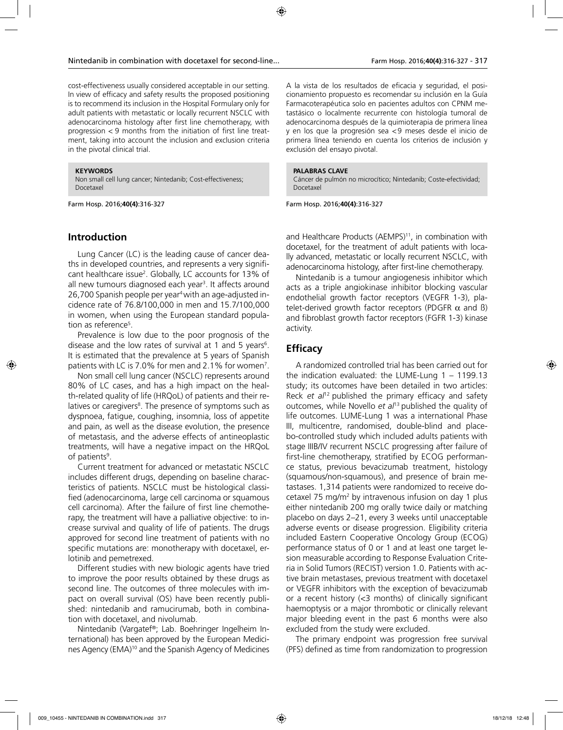cost-effectiveness usually considered acceptable in our setting. In view of efficacy and safety results the proposed positioning is to recommend its inclusion in the Hospital Formulary only for adult patients with metastatic or locally recurrent NSCLC with adenocarcinoma histology after first line chemotherapy, with progression < 9 months from the initiation of first line treatment, taking into account the inclusion and exclusion criteria in the pivotal clinical trial.

#### **KEYWORDS**

Non small cell lung cancer; Nintedanib; Cost-effectiveness; Docetaxel

Farm Hosp. 2016;**40(4)**:316-327

### **Introduction**

Lung Cancer (LC) is the leading cause of cancer deaths in developed countries, and represents a very significant healthcare issue<sup>2</sup>. Globally, LC accounts for 13% of all new tumours diagnosed each year<sup>3</sup>. It affects around 26,700 Spanish people per year4 with an age-adjusted incidence rate of 76.8/100,000 in men and 15.7/100,000 in women, when using the European standard population as reference<sup>5</sup>.

Prevalence is low due to the poor prognosis of the disease and the low rates of survival at 1 and 5 years<sup>6</sup>. It is estimated that the prevalence at 5 years of Spanish patients with LC is 7.0% for men and 2.1% for women<sup>7</sup>.

Non small cell lung cancer (NSCLC) represents around 80% of LC cases, and has a high impact on the health-related quality of life (HRQoL) of patients and their relatives or caregivers<sup>8</sup>. The presence of symptoms such as dyspnoea, fatigue, coughing, insomnia, loss of appetite and pain, as well as the disease evolution, the presence of metastasis, and the adverse effects of antineoplastic treatments, will have a negative impact on the HRQoL of patients<sup>9</sup>.

Current treatment for advanced or metastatic NSCLC includes different drugs, depending on baseline characteristics of patients. NSCLC must be histological classified (adenocarcinoma, large cell carcinoma or squamous cell carcinoma). After the failure of first line chemotherapy, the treatment will have a palliative objective: to increase survival and quality of life of patients. The drugs approved for second line treatment of patients with no specific mutations are: monotherapy with docetaxel, erlotinib and pemetrexed.

Different studies with new biologic agents have tried to improve the poor results obtained by these drugs as second line. The outcomes of three molecules with impact on overall survival (OS) have been recently published: nintedanib and ramucirumab, both in combination with docetaxel, and nivolumab.

Nintedanib (Vargatef®; Lab. Boehringer Ingelheim International) has been approved by the European Medicines Agency (EMA)10 and the Spanish Agency of Medicines A la vista de los resultados de eficacia y seguridad, el posicionamiento propuesto es recomendar su inclusión en la Guía Farmacoterapéutica solo en pacientes adultos con CPNM metastásico o localmente recurrente con histología tumoral de adenocarcinoma después de la quimioterapia de primera línea y en los que la progresión sea <9 meses desde el inicio de primera línea teniendo en cuenta los criterios de inclusión y exclusión del ensayo pivotal.

#### **PALABRAS CLAVE**

Cáncer de pulmón no microcítico; Nintedanib; Coste-efectividad; Docetaxel

Farm Hosp. 2016;**40(4)**:316-327

and Healthcare Products (AEMPS)<sup>11</sup>, in combination with docetaxel, for the treatment of adult patients with locally advanced, metastatic or locally recurrent NSCLC, with adenocarcinoma histology, after first-line chemotherapy.

Nintedanib is a tumour angiogenesis inhibitor which acts as a triple angiokinase inhibitor blocking vascular endothelial growth factor receptors (VEGFR 1-3), platelet-derived growth factor receptors (PDGFR  $\alpha$  and  $\beta$ ) and fibroblast growth factor receptors (FGFR 1-3) kinase activity.

### **Efficacy**

A randomized controlled trial has been carried out for the indication evaluated: the LUME-Lung 1 – 1199.13 study; its outcomes have been detailed in two articles: Reck *et al*12 published the primary efficacy and safety outcomes, while Novello *et al*13 published the quality of life outcomes. LUME-Lung 1 was a international Phase III, multicentre, randomised, double-blind and placebo-controlled study which included adults patients with stage IIIB/IV recurrent NSCLC progressing after failure of first-line chemotherapy, stratified by ECOG performance status, previous bevacizumab treatment, histology (squamous/non-squamous), and presence of brain metastases. 1,314 patients were randomized to receive docetaxel 75 mg/m2 by intravenous infusion on day 1 plus either nintedanib 200 mg orally twice daily or matching placebo on days 2–21, every 3 weeks until unacceptable adverse events or disease progression. Eligibility criteria included Eastern Cooperative Oncology Group (ECOG) performance status of 0 or 1 and at least one target lesion measurable according to Response Evaluation Criteria in Solid Tumors (RECIST) version 1.0. Patients with active brain metastases, previous treatment with docetaxel or VEGFR inhibitors with the exception of bevacizumab or a recent history (<3 months) of clinically significant haemoptysis or a major thrombotic or clinically relevant major bleeding event in the past 6 months were also excluded from the study were excluded.

The primary endpoint was progression free survival (PFS) defined as time from randomization to progression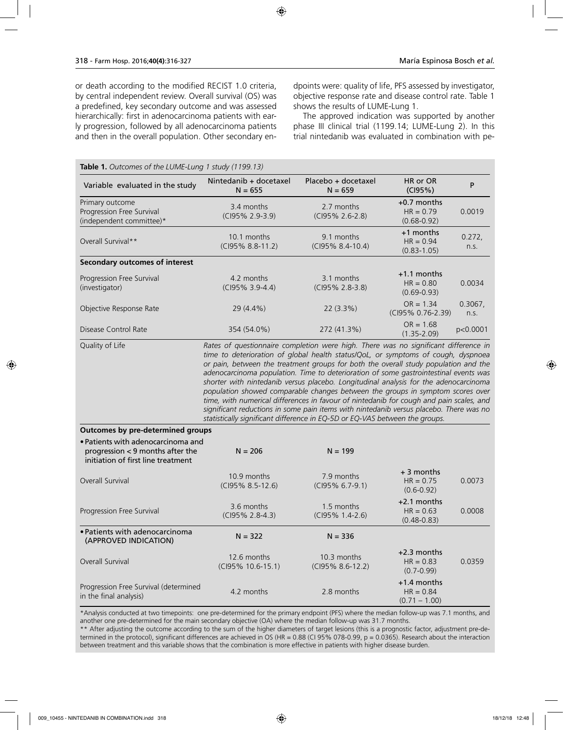or death according to the modified RECIST 1.0 criteria, by central independent review. Overall survival (OS) was a predefined, key secondary outcome and was assessed hierarchically: first in adenocarcinoma patients with early progression, followed by all adenocarcinoma patients and then in the overall population. Other secondary endpoints were: quality of life, PFS assessed by investigator, objective response rate and disease control rate. Table 1 shows the results of LUME-Lung 1.

The approved indication was supported by another phase III clinical trial (1199.14; LUME-Lung 2). In this trial nintedanib was evaluated in combination with pe-

| Table 1. Outcomes of the LUME-Lung 1 study (1199.13)                                                         |                                                                                                                                                                                                                                                                                                                                                                                                                                                                                                                                                                                                                           |                                                                                  |                                                 |                 |
|--------------------------------------------------------------------------------------------------------------|---------------------------------------------------------------------------------------------------------------------------------------------------------------------------------------------------------------------------------------------------------------------------------------------------------------------------------------------------------------------------------------------------------------------------------------------------------------------------------------------------------------------------------------------------------------------------------------------------------------------------|----------------------------------------------------------------------------------|-------------------------------------------------|-----------------|
| Variable evaluated in the study                                                                              | Nintedanib + docetaxel<br>$N = 655$                                                                                                                                                                                                                                                                                                                                                                                                                                                                                                                                                                                       | Placebo + docetaxel<br>$N = 659$                                                 | HR or OR<br>(CI95%)                             | P               |
| Primary outcome<br>Progression Free Survival<br>(independent committee)*                                     | 3.4 months<br>(CI95% 2.9-3.9)                                                                                                                                                                                                                                                                                                                                                                                                                                                                                                                                                                                             | 2.7 months<br>(CI95% 2.6-2.8)                                                    | $+0.7$ months<br>$HR = 0.79$<br>$(0.68 - 0.92)$ | 0.0019          |
| Overall Survival**                                                                                           | 10.1 months<br>(CI95% 8.8-11.2)                                                                                                                                                                                                                                                                                                                                                                                                                                                                                                                                                                                           | 9.1 months<br>(CI95% 8.4-10.4)                                                   | $+1$ months<br>$HR = 0.94$<br>$(0.83 - 1.05)$   | 0.272,<br>n.s.  |
| <b>Secondary outcomes of interest</b>                                                                        |                                                                                                                                                                                                                                                                                                                                                                                                                                                                                                                                                                                                                           |                                                                                  |                                                 |                 |
| Progression Free Survival<br>(investigator)                                                                  | 4.2 months<br>(CI95% 3.9-4.4)                                                                                                                                                                                                                                                                                                                                                                                                                                                                                                                                                                                             | $+1.1$ months<br>3.1 months<br>$HR = 0.80$<br>(CI95% 2.8-3.8)<br>$(0.69 - 0.93)$ |                                                 | 0.0034          |
| Objective Response Rate                                                                                      | 29 (4.4%)                                                                                                                                                                                                                                                                                                                                                                                                                                                                                                                                                                                                                 | 22 (3.3%)                                                                        | $OR = 1.34$<br>(CI95% 0.76-2.39)                | 0.3067,<br>n.s. |
| Disease Control Rate                                                                                         | 354 (54.0%)                                                                                                                                                                                                                                                                                                                                                                                                                                                                                                                                                                                                               | 272 (41.3%)                                                                      | $OR = 1.68$<br>$(1.35 - 2.09)$                  | p<0.0001        |
|                                                                                                              | or pain, between the treatment groups for both the overall study population and the<br>adenocarcinoma population. Time to deterioration of some gastrointestinal events was<br>shorter with nintedanib versus placebo. Longitudinal analysis for the adenocarcinoma<br>population showed comparable changes between the groups in symptom scores over<br>time, with numerical differences in favour of nintedanib for cough and pain scales, and<br>significant reductions in some pain items with nintedanib versus placebo. There was no<br>statistically significant difference in EQ-5D or EQ-VAS between the groups. |                                                                                  |                                                 |                 |
| <b>Outcomes by pre-determined groups</b>                                                                     |                                                                                                                                                                                                                                                                                                                                                                                                                                                                                                                                                                                                                           |                                                                                  |                                                 |                 |
| • Patients with adenocarcinoma and<br>progression < 9 months after the<br>initiation of first line treatment | $N = 206$                                                                                                                                                                                                                                                                                                                                                                                                                                                                                                                                                                                                                 | $N = 199$                                                                        |                                                 |                 |
| Overall Survival                                                                                             | 10.9 months<br>(CI95% 8.5-12.6)                                                                                                                                                                                                                                                                                                                                                                                                                                                                                                                                                                                           | 7.9 months<br>(CI95% 6.7-9.1)                                                    | $+3$ months<br>$HR = 0.75$<br>$(0.6 - 0.92)$    | 0.0073          |
| Progression Free Survival                                                                                    | 3.6 months<br>(CI95% 2.8-4.3)                                                                                                                                                                                                                                                                                                                                                                                                                                                                                                                                                                                             | 1.5 months<br>(CI95% 1.4-2.6)                                                    | +2.1 months<br>$HR = 0.63$<br>$(0.48 - 0.83)$   | 0.0008          |
| • Patients with adenocarcinoma<br>(APPROVED INDICATION)                                                      | $N = 322$                                                                                                                                                                                                                                                                                                                                                                                                                                                                                                                                                                                                                 | $N = 336$                                                                        |                                                 |                 |
| Overall Survival                                                                                             | 12.6 months<br>(CI95% 10.6-15.1)                                                                                                                                                                                                                                                                                                                                                                                                                                                                                                                                                                                          | 10.3 months<br>(CI95% 8.6-12.2)                                                  | +2.3 months<br>$HR = 0.83$<br>$(0.7 - 0.99)$    | 0.0359          |
| Progression Free Survival (determined<br>in the final analysis)                                              | 4.2 months                                                                                                                                                                                                                                                                                                                                                                                                                                                                                                                                                                                                                | 2.8 months                                                                       | $+1.4$ months<br>$HR = 0.84$<br>$(0.71 - 1.00)$ |                 |

\*Analysis conducted at two timepoints: one pre-determined for the primary endpoint (PFS) where the median follow-up was 7.1 months, and another one pre-determined for the main secondary objective (OA) where the median follow-up was 31.7 months.

\*\* After adjusting the outcome according to the sum of the higher diameters of target lesions (this is a prognostic factor, adjustment pre-determined in the protocol), significant differences are achieved in OS (HR = 0.88 (CI 95% 078-0.99, p = 0.0365). Research about the interaction between treatment and this variable shows that the combination is more effective in patients with higher disease burden.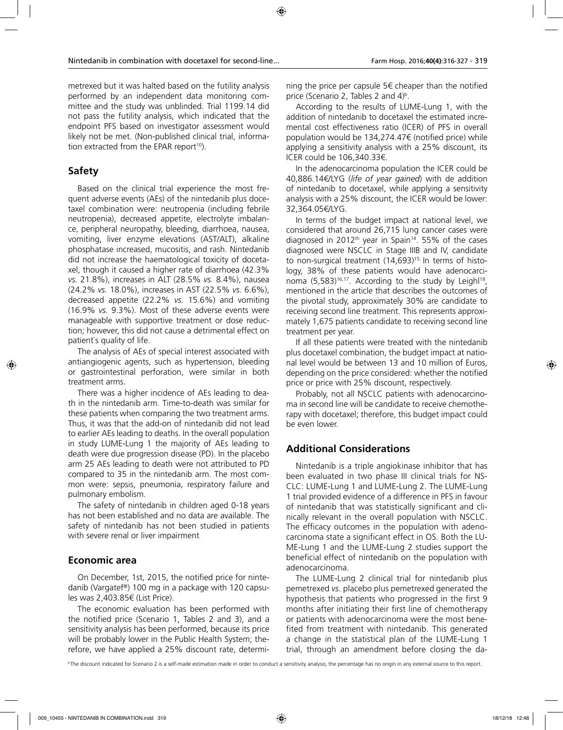metrexed but it was halted based on the futility analysis performed by an independent data monitoring committee and the study was unblinded. Trial 1199.14 did not pass the futility analysis, which indicated that the endpoint PFS based on investigator assessment would likely not be met. (Non-published clinical trial, information extracted from the EPAR report<sup>10</sup>).

### **Safety**

Based on the clinical trial experience the most frequent adverse events (AEs) of the nintedanib plus docetaxel combination were: neutropenia (including febrile neutropenia), decreased appetite, electrolyte imbalance, peripheral neuropathy, bleeding, diarrhoea, nausea, vomiting, liver enzyme elevations (AST/ALT), alkaline phosphatase increased, mucositis, and rash. Nintedanib did not increase the haematological toxicity of docetaxel, though it caused a higher rate of diarrhoea (42.3% *vs.* 21.8%), increases in ALT (28.5% *vs.* 8.4%), nausea (24.2% *vs.* 18.0%), increases in AST (22.5% *vs.* 6.6%), decreased appetite (22.2% *vs.* 15.6%) and vomiting (16.9% *vs.* 9.3%). Most of these adverse events were manageable with supportive treatment or dose reduction; however, this did not cause a detrimental effect on patient`s quality of life.

The analysis of AEs of special interest associated with antiangiogenic agents, such as hypertension, bleeding or gastrointestinal perforation, were similar in both treatment arms.

There was a higher incidence of AEs leading to death in the nintedanib arm. Time-to-death was similar for these patients when comparing the two treatment arms. Thus, it was that the add-on of nintedanib did not lead to earlier AEs leading to deaths. In the overall population in study LUME-Lung 1 the majority of AEs leading to death were due progression disease (PD). In the placebo arm 25 AEs leading to death were not attributed to PD compared to 35 in the nintedanib arm. The most common were: sepsis, pneumonia, respiratory failure and pulmonary embolism.

The safety of nintedanib in children aged 0-18 years has not been established and no data are available. The safety of nintedanib has not been studied in patients with severe renal or liver impairment

### **Economic area**

On December, 1st, 2015, the notified price for nintedanib (Vargatef®) 100 mg in a package with 120 capsules was 2,403.85€ (List Price).

The economic evaluation has been performed with the notified price (Scenario 1, Tables 2 and 3), and a sensitivity analysis has been performed, because its price will be probably lower in the Public Health System; therefore, we have applied a 25% discount rate, determining the price per capsule 5€ cheaper than the notified price (Scenario 2, Tables 2 and  $4)^{\rm b}$ .

According to the results of LUME-Lung 1, with the addition of nintedanib to docetaxel the estimated incremental cost effectiveness ratio (ICER) of PFS in overall population would be 134,274.47€ (notified price) while applying a sensitivity analysis with a 25% discount, its ICER could be 106,340.33€.

In the adenocarcinoma population the ICER could be 40,886.14€/LYG (*life of year gained*) with de addition of nintedanib to docetaxel, while applying a sensitivity analysis with a 25% discount, the ICER would be lower: 32,364.05€/LYG.

In terms of the budget impact at national level, we considered that around 26,715 lung cancer cases were diagnosed in 2012<sup>th</sup> year in Spain<sup>14</sup>. 55% of the cases diagnosed were NSCLC in Stage IIIB and IV, candidate to non-surgical treatment (14,693)<sup>15.</sup> In terms of histology, 38% of these patients would have adenocarcinoma (5,583)<sup>16,17</sup>. According to the study by Leighl<sup>18</sup>, mentioned in the article that describes the outcomes of the pivotal study, approximately 30% are candidate to receiving second line treatment. This represents approximately 1,675 patients candidate to receiving second line treatment per year.

If all these patients were treated with the nintedanib plus docetaxel combination, the budget impact at national level would be between 13 and 10 million of Euros, depending on the price considered: whether the notified price or price with 25% discount, respectively.

Probably, not all NSCLC patients with adenocarcinoma in second line will be candidate to receive chemotherapy with docetaxel; therefore, this budget impact could be even lower.

### **Additional Considerations**

Nintedanib is a triple angiokinase inhibitor that has been evaluated in two phase III clinical trials for NS-CLC: LUME-Lung 1 and LUME-Lung 2. The LUME-Lung 1 trial provided evidence of a difference in PFS in favour of nintedanib that was statistically significant and clinically relevant in the overall population with NSCLC. The efficacy outcomes in the population with adenocarcinoma state a significant effect in OS. Both the LU-ME-Lung 1 and the LUME-Lung 2 studies support the beneficial effect of nintedanib on the population with adenocarcinoma.

The LUME-Lung 2 clinical trial for nintedanib plus pemetrexed *vs*. placebo plus pemetrexed generated the hypothesis that patients who progressed in the first 9 months after initiating their first line of chemotherapy or patients with adenocarcinoma were the most benefited from treatment with nintedanib. This generated a change in the statistical plan of the LUME-Lung 1 trial, through an amendment before closing the da-

<sup>b</sup>The discount indicated for Scenario 2 is a self-made estimation made in order to conduct a sensitivity analysis; the percentage has no origin in any external source to this report.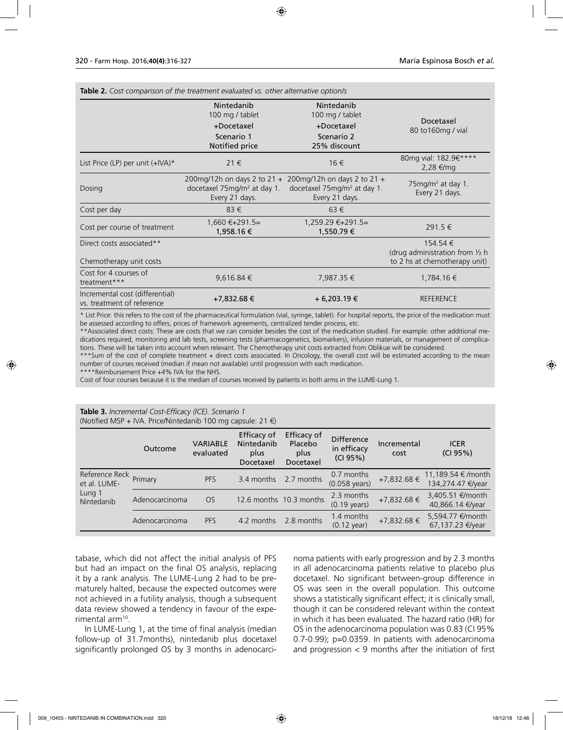| <b>Table 2.</b> Cost comparison of the treatment evaluated vs. other alternative option/s |                                                                                                                     |                                                                           |                                                                                        |  |  |  |  |
|-------------------------------------------------------------------------------------------|---------------------------------------------------------------------------------------------------------------------|---------------------------------------------------------------------------|----------------------------------------------------------------------------------------|--|--|--|--|
|                                                                                           | Nintedanib<br>100 mg / tablet<br>+Docetaxel<br>Scenario 1<br>Notified price                                         | Nintedanib<br>100 mg / tablet<br>+Docetaxel<br>Scenario 2<br>25% discount | Docetaxel<br>80 to 160mg / vial                                                        |  |  |  |  |
| List Price (LP) per unit $(+IVA)^*$                                                       | $21 \in$                                                                                                            | 16€                                                                       | 80mg vial: 182.9€****<br>2,28 €/mg                                                     |  |  |  |  |
| Dosing                                                                                    | 200mg/12h on days 2 to 21 + 200mg/12h on days 2 to 21 +<br>docetaxel $75 \text{mg/m}^2$ at day 1.<br>Every 21 days. |                                                                           | $75mg/m2$ at day 1.<br>Every 21 days.                                                  |  |  |  |  |
| Cost per day                                                                              | 83€                                                                                                                 | $63 \in$                                                                  |                                                                                        |  |  |  |  |
| Cost per course of treatment                                                              | $1,660$ €+291.5=<br>1,958.16 €                                                                                      | $1,259.29 \in +291.5=$<br>1,550.79 €                                      | 291.5 €                                                                                |  |  |  |  |
| Direct costs associated**<br>Chemotherapy unit costs                                      |                                                                                                                     |                                                                           | 154.54 €<br>(drug administration from $\frac{1}{2}$ h<br>to 2 hs at chemotherapy unit) |  |  |  |  |
| Cost for 4 courses of<br>treatment***                                                     | $9,616.84 \in$                                                                                                      | 7,987.35 €                                                                | 1,784.16 €                                                                             |  |  |  |  |
| Incremental cost (differential)<br>vs. treatment of reference                             | +7,832.68 €                                                                                                         | + 6,203.19 €                                                              | <b>REFERENCE</b>                                                                       |  |  |  |  |

\* List Price: this refers to the cost of the pharmaceutical formulation (vial, syringe, tablet). For hospital reports, the price of the medication must be assessed according to offers, prices of framework agreements, centralized tender process, etc.

\*\*Associated direct costs: These are costs that we can consider besides the cost of the medication studied. For example: other additional medications required, monitoring and lab tests, screening tests (pharmacogenetics, biomarkers), infusion materials, or management of complications. These will be taken into account when relevant. The Chemotherapy unit costs extracted from Oblikue will be considered.

\*\*\*Sum of the cost of complete treatment + direct costs associated. In Oncology, the overall cost will be estimated according to the mean number of courses received (median if mean not available) until progression with each medication.

\*\*Reimbursement Price +4% IVA for the NHS.

Cost of four courses because it is the median of courses received by patients in both arms in the LUME-Lung 1.

#### **Table 3.** *Incremental Cost-Efficacy (ICE). Scenario 1*  (Notified MSP + IVA. Price/Nintedanib 100 mg capsule: 21  $\epsilon$ )

|                                                        |                |                              | Efficacy of                     | Efficacy of                  |                                              |                     |                                                  |
|--------------------------------------------------------|----------------|------------------------------|---------------------------------|------------------------------|----------------------------------------------|---------------------|--------------------------------------------------|
|                                                        | Outcome        | <b>VARIABLE</b><br>evaluated | Nintedanib<br>plus<br>Docetaxel | Placebo<br>plus<br>Docetaxel | <b>Difference</b><br>in efficacy<br>(CI 95%) | Incremental<br>cost | <b>ICER</b><br>(CI 95%)                          |
| Reference Reck<br>et al. LUME-<br>Lung 1<br>Nintedanib | Primary        | <b>PFS</b>                   | 3.4 months                      | 2.7 months                   | 0.7 months<br>$(0.058 \text{ years})$        | +7,832.68 €         | 11,189.54 €/month<br>134,274.47 €/year           |
|                                                        | Adenocarcinoma | <b>OS</b>                    |                                 | 12.6 months 10.3 months      | 2.3 months<br>$(0.19 \text{ years})$         | $+7,832.68 \in$     | 3,405.51 <del>€</del> /month<br>40,866.14 €/year |
|                                                        | Adenocarcinoma | <b>PFS</b>                   | 4.2 months                      | 2.8 months                   | 1.4 months<br>$(0.12 \text{ year})$          | +7,832.68 €         | 5,594.77 <del>€</del> /month<br>67,137.23 €/year |

tabase, which did not affect the initial analysis of PFS but had an impact on the final OS analysis, replacing it by a rank analysis. The LUME-Lung 2 had to be prematurely halted, because the expected outcomes were not achieved in a futility analysis, though a subsequent data review showed a tendency in favour of the experimental arm10.

In LUME-Lung 1, at the time of final analysis (median follow-up of 31.7months), nintedanib plus docetaxel significantly prolonged OS by 3 months in adenocarcinoma patients with early progression and by 2.3 months in all adenocarcinoma patients relative to placebo plus docetaxel. No significant between-group difference in OS was seen in the overall population. This outcome shows a statistically significant effect; it is clinically small, though it can be considered relevant within the context in which it has been evaluated. The hazard ratio (HR) for OS in the adenocarcinoma population was 0.83 (CI 95% 0.7-0.99); p=0.0359. In patients with adenocarcinoma and progression  $<$  9 months after the initiation of first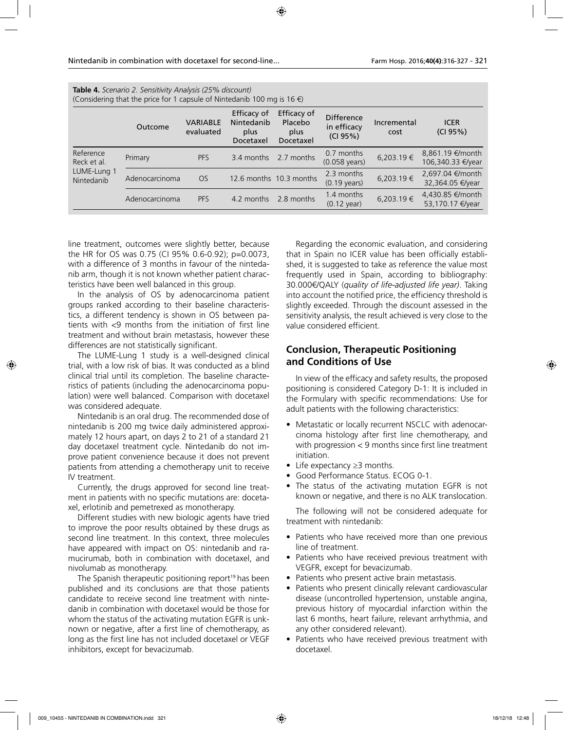| <b>lable 4.</b> Scenario 2. Sensitivity Analysis (25% discount)<br>(Considering that the price for 1 capsule of Nintedanib 100 mg is 16 $\epsilon$ ) |                |                              |                                                |                                             |                                              |                     |                                       |  |
|------------------------------------------------------------------------------------------------------------------------------------------------------|----------------|------------------------------|------------------------------------------------|---------------------------------------------|----------------------------------------------|---------------------|---------------------------------------|--|
|                                                                                                                                                      | Outcome        | <b>VARIABLE</b><br>evaluated | Efficacy of<br>Nintedanib<br>plus<br>Docetaxel | Efficacy of<br>Placebo<br>plus<br>Docetaxel | <b>Difference</b><br>in efficacy<br>(CI 95%) | Incremental<br>cost | <b>ICER</b><br>(CI 95%)               |  |
| Reference<br>Reck et al.<br>LUME-Lung 1<br>Nintedanib                                                                                                | Primary        | <b>PFS</b>                   | 3.4 months                                     | 2.7 months                                  | 0.7 months<br>$(0.058 \text{ years})$        | 6,203.19 €          | 8,861.19 €/month<br>106,340.33 €/year |  |
|                                                                                                                                                      | Adenocarcinoma | OS.                          |                                                | 12.6 months 10.3 months                     | 2.3 months<br>$(0.19 \text{ years})$         | 6,203.19 €          | 2,697.04 €/month<br>32,364.05 €/year  |  |
|                                                                                                                                                      | Adenocarcinoma | <b>PFS</b>                   | 4.2 months                                     | 2.8 months                                  | 1.4 months<br>$(0.12 \text{ year})$          | 6,203.19€           | 4.430.85 €/month<br>53,170.17 €/year  |  |
|                                                                                                                                                      |                |                              |                                                |                                             |                                              |                     |                                       |  |

**Table 4.** *Scenario 2. Sensitivity Analysis (25% discount)* 

line treatment, outcomes were slightly better, because the HR for OS was 0.75 (CI 95% 0.6-0.92); p=0.0073, with a difference of 3 months in favour of the nintedanib arm, though it is not known whether patient characteristics have been well balanced in this group.

In the analysis of OS by adenocarcinoma patient groups ranked according to their baseline characteristics, a different tendency is shown in OS between patients with <9 months from the initiation of first line treatment and without brain metastasis, however these differences are not statistically significant.

The LUME-Lung 1 study is a well-designed clinical trial, with a low risk of bias. It was conducted as a blind clinical trial until its completion. The baseline characteristics of patients (including the adenocarcinoma population) were well balanced. Comparison with docetaxel was considered adequate.

Nintedanib is an oral drug. The recommended dose of nintedanib is 200 mg twice daily administered approximately 12 hours apart, on days 2 to 21 of a standard 21 day docetaxel treatment cycle. Nintedanib do not improve patient convenience because it does not prevent patients from attending a chemotherapy unit to receive IV treatment.

Currently, the drugs approved for second line treatment in patients with no specific mutations are: docetaxel, erlotinib and pemetrexed as monotherapy.

Different studies with new biologic agents have tried to improve the poor results obtained by these drugs as second line treatment. In this context, three molecules have appeared with impact on OS: nintedanib and ramucirumab, both in combination with docetaxel, and nivolumab as monotherapy.

The Spanish therapeutic positioning report<sup>19</sup> has been published and its conclusions are that those patients candidate to receive second line treatment with nintedanib in combination with docetaxel would be those for whom the status of the activating mutation EGFR is unknown or negative, after a first line of chemotherapy, as long as the first line has not included docetaxel or VEGF inhibitors, except for bevacizumab.

Regarding the economic evaluation, and considering that in Spain no ICER value has been officially established, it is suggested to take as reference the value most frequently used in Spain, according to bibliography: 30.000€/QALY (*quality of life-adjusted life year)*. Taking into account the notified price, the efficiency threshold is slightly exceeded. Through the discount assessed in the sensitivity analysis, the result achieved is very close to the value considered efficient.

### **Conclusion, Therapeutic Positioning and Conditions of Use**

In view of the efficacy and safety results, the proposed positioning is considered Category D-1: It is included in the Formulary with specific recommendations: Use for adult patients with the following characteristics:

- Metastatic or locally recurrent NSCLC with adenocarcinoma histology after first line chemotherapy, and with progression < 9 months since first line treatment initiation.
- Life expectancy ≥3 months.
- Good Performance Status. ECOG 0-1.
- The status of the activating mutation EGFR is not known or negative, and there is no ALK translocation.

The following will not be considered adequate for treatment with nintedanib:

- Patients who have received more than one previous line of treatment.
- Patients who have received previous treatment with VEGFR, except for bevacizumab.
- Patients who present active brain metastasis.
- Patients who present clinically relevant cardiovascular disease (uncontrolled hypertension, unstable angina, previous history of myocardial infarction within the last 6 months, heart failure, relevant arrhythmia, and any other considered relevant).
- Patients who have received previous treatment with docetaxel.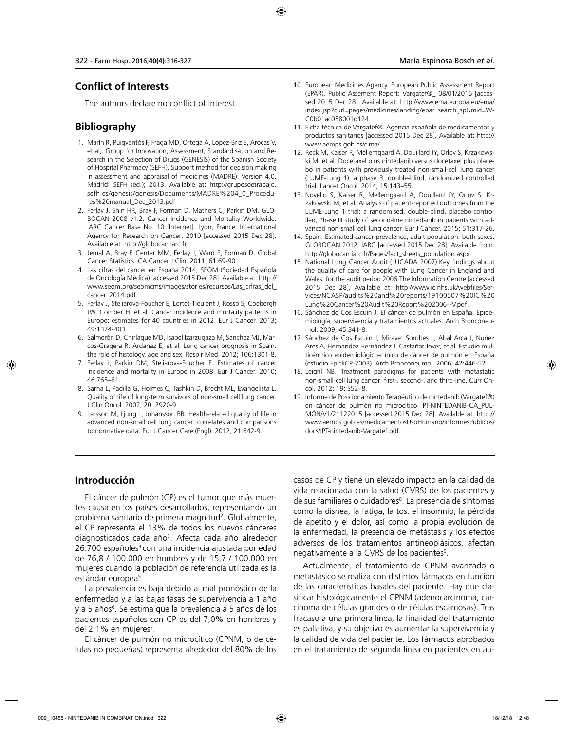# **Conflict of Interests**

The authors declare no conflict of interest.

## **Bibliography**

- 1. Marín R, Puigventós F, Fraga MD, Ortega A, López-Briz E, Arocas V, et al;. Group for Innovation, Assessment, Standardisation and Research in the Selection of Drugs (GENESIS) of the Spanish Society of Hospital Pharmacy (SEFH). Support method for decision making in assessment and appraisal of medicines (MADRE). Version 4.0. Madrid: SEFH (ed.); 2013. Available at: http://gruposdetrabajo. sefh.es/genesis/genesis/Documents/MADRE%204\_0\_Procedures%20manual\_Dec\_2013.pdf
- 2. Ferlay J, Shin HR, Bray F, Forman D, Mathers C, Parkin DM. GLO-BOCAN 2008 v1.2. Cancer Incidence and Mortality Worldwide: IARC Cancer Base No. 10 [Internet]. Lyon, France: International Agency for Research on Cancer; 2010 [accessed 2015 Dec 28]. Available at: http://globocan.iarc.fr.
- 3. Jemal A, Bray F, Center MM, Ferlay J, Ward E, Forman D. Global Cancer Statistics. CA Cancer J Clin. 2011; 61:69-90.
- 4. Las cifras del cancer en España 2014, SEOM (Sociedad Española de Oncología Médica) [accessed 2015 Dec 28]. Available at: http:// www.seom.org/seomcms/images/stories/recursos/Las\_cifras\_del\_ cancer\_2014.pdf.
- 5. Ferlay J, Steliarova-Foucher E, Lortet-Tieulent J, Rosso S, Coebergh JW, Comber H, et al. Cancer incidence and mortality patterns in Europe: estimates for 40 countries in 2012. Eur J Cancer. 2013; 49:1374-403.
- 6. Salmerón D, Chirlaque MD, Isabel Izarzugaza M, Sánchez MJ, Marcos-Gragera R, Ardanaz E, et al. Lung cancer prognosis in Spain: the role of histology, age and sex. Respir Med. 2012; 106:1301-8.
- 7. Ferlay J, Parkin DM, Steliarova-Foucher E. Estimates of cancer incidence and mortality in Europe in 2008. Eur J Cancer. 2010; 46:765–81.
- 8. Sarna L, Padilla G, Holmes C, Tashkin D, Brecht ML, Evangelista L. Quality of life of long-term survivors of non-small cell lung cancer. J Clin Oncol. 2002; 20: 2920-9.
- 9. Larsson M, Ljung L, Johansson BB. Health-related quality of life in advanced non-small cell lung cancer: correlates and comparisons to normative data. Eur J Cancer Care (Engl). 2012; 21:642-9.
- 10. European Medicines Agency. European Public Assessment Report (EPAR). Public Assement Report: Vargatef®\_ 08/01/2015 [accessed 2015 Dec 28]. Available at: http://www.ema.europa.eu/ema/ index.jsp?curl=pages/medicines/landing/epar\_search.jsp&mid=W-C0b01ac058001d124.
- 11. Ficha técnica de Vargatef®. Agencia española de medicamentos y productos sanitarios [accessed 2015 Dec 28]. Available at: http:// www.aemps.gob.es/cima/.
- 12. Reck M, Kaiser R, Mellemgaard A, Douillard JY, Orlov S, Krzakowski M, et al. Docetaxel plus nintedanib versus docetaxel plus placebo in patients with previously treated non-small-cell lung cancer (LUME-Lung 1): a phase 3, double-blind, randomized controlled trial. Lancet Oncol. 2014; 15:143–55.
- 13. Novello S, Kaiser R, Mellemgaard A, Douillard JY, Orlov S, Krzakowski M, et al. Analysis of patient-reported outcomes from the LUME-Lung 1 trial: a randomised, double-blind, placebo-controlled, Phase III study of second-line nintedanib in patients with advanced non-small cell lung cancer. Eur J Cancer. 2015; 51:317-26.
- 14. Spain. Estimated cancer prevalence, adult population: both sexes. GLOBOCAN 2012, IARC [accessed 2015 Dec 28]. Available from: http://globocan.iarc.fr/Pages/fact\_sheets\_population.aspx.
- 15. National Lung Cancer Audit (LUCADA 2007).Key findings about the quality of care for people with Lung Cancer in England and Wales, for the audit period 2006.The Information Centre [accessed 2015 Dec 28]. Available at: http://www.ic.nhs.uk/webfiles/Services/NCASP/audits%20and%20reports/19100507%20IC%20 Lung%20Cancer%20Audit%20Report%202006-FV.pdf.
- 16. Sánchez de Cos Escuin J. El cáncer de pulmón en España. Epidemiología, supervivencia y tratamientos actuales. Arch Bronconeumol. 2009; 45:341-8.
- 17. Sánchez de Cos Escuin J, Miravet Sorribes L, Abal Arca J, Nuñez Ares A, Hernández Hernández J, Castañar Jover, et al. Estudio multicéntrico epidemiológico-clínico de cáncer de pulmón en España (estudio EpicliCP-2003). Arch Bronconeumol. 2006; 42:446-52.
- 18. Leighl NB. Treatment paradigms for patients with metastatic non-small-cell lung cancer: first-, second-, and third-line. Curr Oncol. 2012; 19: S52–8.
- 19. Informe de Posicionamiento Terapéutico de nintedanib (Vargatef®) en cáncer de pulmón no microcítico. PT-NINTEDANIB-CA\_PUL-MÓN/V1/21122015 [accessed 2015 Dec 28]. Available at: http:// www.aemps.gob.es/medicamentosUsoHumano/informesPublicos/ docs/IPT-nintedanib-Vargatef.pdf.

### **Introducción**

El cáncer de pulmón (CP) es el tumor que más muertes causa en los países desarrollados, representando un problema sanitario de primera magnitud<sup>2</sup>. Globalmente, el CP representa el 13% de todos los nuevos cánceres diagnosticados cada año<sup>3</sup>. Afecta cada año alrededor 26.700 españoles<sup>4</sup> con una incidencia ajustada por edad de 76,8 / 100.000 en hombres y de 15,7 / 100.000 en mujeres cuando la población de referencia utilizada es la estándar europea<sup>5</sup>.

La prevalencia es baja debido al mal pronóstico de la enfermedad y a las bajas tasas de supervivencia a 1 año y a 5 años<sup>6</sup>. Se estima que la prevalencia a 5 años de los pacientes españoles con CP es del 7,0% en hombres y del 2,1% en mujeres<sup>7</sup>.

El cáncer de pulmón no microcítico (CPNM, o de células no pequeñas) representa alrededor del 80% de los casos de CP y tiene un elevado impacto en la calidad de vida relacionada con la salud (CVRS) de los pacientes y de sus familiares o cuidadores<sup>8</sup>. La presencia de síntomas como la disnea, la fatiga, la tos, el insomnio, la pérdida de apetito y el dolor, así como la propia evolución de la enfermedad, la presencia de metástasis y los efectos adversos de los tratamientos antineoplásicos, afectan negativamente a la CVRS de los pacientes<sup>9</sup>.

Actualmente, el tratamiento de CPNM avanzado o metastásico se realiza con distintos fármacos en función de las características basales del paciente. Hay que clasificar histológicamente el CPNM (adenocarcinoma, carcinoma de células grandes o de células escamosas). Tras fracaso a una primera línea, la finalidad del tratamiento es paliativa, y su objetivo es aumentar la supervivencia y la calidad de vida del paciente. Los fármacos aprobados en el tratamiento de segunda línea en pacientes en au-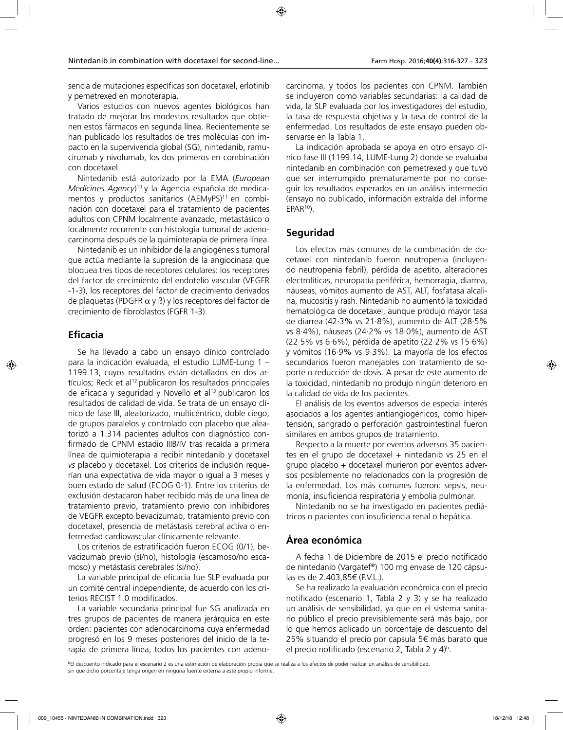sencia de mutaciones específicas son docetaxel, erlotinib y pemetrexed en monoterapia.

Varios estudios con nuevos agentes biológicos han tratado de mejorar los modestos resultados que obtienen estos fármacos en segunda línea. Recientemente se han publicado los resultados de tres moléculas con impacto en la supervivencia global (SG), nintedanib, ramucirumab y nivolumab, los dos primeros en combinación con docetaxel.

Nintedanib está autorizado por la EMA (*European Medicines Agency*) 10 y la Agencia española de medicamentos y productos sanitarios  $(AEMyPS)^{11}$  en combinación con docetaxel para el tratamiento de pacientes adultos con CPNM localmente avanzado, metastásico o localmente recurrente con histología tumoral de adenocarcinoma después de la quimioterapia de primera línea.

Nintedanib es un inhibidor de la angiogénesis tumoral que actúa mediante la supresión de la angiocinasa que bloquea tres tipos de receptores celulares: los receptores del factor de crecimiento del endotelio vascular (VEGFR -1-3), los receptores del factor de crecimiento derivados de plaquetas (PDGFR  $\alpha$  y  $\beta$ ) y los receptores del factor de crecimiento de fibroblastos (FGFR 1-3).

## **Eficacia**

Se ha llevado a cabo un ensayo clínico controlado para la indicación evaluada, el estudio LUME-Lung 1 – 1199.13, cuyos resultados están detallados en dos artículos; Reck et al<sup>12</sup> publicaron los resultados principales de eficacia y seguridad y Novello et al<sup>13</sup> publicaron los resultados de calidad de vida. Se trata de un ensayo clínico de fase III, aleatorizado, multicéntrico, doble ciego, de grupos paralelos y controlado con placebo que aleatorizó a 1.314 pacientes adultos con diagnóstico confirmado de CPNM estadio IIIB/IV tras recaída a primera línea de quimioterapia a recibir nintedanib y docetaxel *vs* placebo y docetaxel. Los criterios de inclusión requerían una expectativa de vida mayor o igual a 3 meses y buen estado de salud (ECOG 0-1). Entre los criterios de exclusión destacaron haber recibido más de una línea de tratamiento previo, tratamiento previo con inhibidores de VEGFR excepto bevacizumab, tratamiento previo con docetaxel, presencia de metástasis cerebral activa o enfermedad cardiovascular clínicamente relevante.

Los criterios de estratificación fueron ECOG (0/1), bevacizumab previo (sí/no), histología (escamoso/no escamoso) y metástasis cerebrales (si/no).

La variable principal de eficacia fue SLP evaluada por un comité central independiente, de acuerdo con los criterios RECIST 1.0 modificados.

La variable secundaria principal fue SG analizada en tres grupos de pacientes de manera jerárquica en este orden: pacientes con adenocarcinoma cuya enfermedad progresó en los 9 meses posteriores del inicio de la terapia de primera línea, todos los pacientes con adeno-

carcinoma, y todos los pacientes con CPNM. También se incluyeron como variables secundarias: la calidad de vida, la SLP evaluada por los investigadores del estudio, la tasa de respuesta objetiva y la tasa de control de la enfermedad. Los resultados de este ensayo pueden observarse en la Tabla 1.

La indicación aprobada se apoya en otro ensayo clínico fase III (1199.14, LUME-Lung 2) donde se evaluaba nintedanib en combinación con pemetrexed y que tuvo que ser interrumpido prematuramente por no conseguir los resultados esperados en un análisis intermedio (ensayo no publicado, información extraída del informe  $EPAR<sup>10</sup>$ ).

## **Seguridad**

Los efectos más comunes de la combinación de docetaxel con nintedanib fueron neutropenia (incluyendo neutropenia febril), pérdida de apetito, alteraciones electrolíticas, neuropatía periférica, hemorragia, diarrea, náuseas, vómitos aumento de AST, ALT, fosfatasa alcalina, mucositis y rash. Nintedanib no aumentó la toxicidad hematológica de docetaxel, aunque produjo mayor tasa de diarrea (42·3% vs 21·8%), aumento de ALT (28·5% vs 8·4%), náuseas (24·2% vs 18·0%), aumento de AST (22·5% vs 6·6%), pérdida de apetito (22·2% vs 15·6%) y vómitos (16·9% vs 9·3%). La mayoría de los efectos secundarios fueron manejables con tratamiento de soporte o reducción de dosis. A pesar de este aumento de la toxicidad, nintedanib no produjo ningún deterioro en la calidad de vida de los pacientes.

El análisis de los eventos adversos de especial interés asociados a los agentes antiangiogénicos, como hipertensión, sangrado o perforación gastrointestinal fueron similares en ambos grupos de tratamiento.

Respecto a la muerte por eventos adversos 35 pacientes en el grupo de docetaxel + nintedanib vs 25 en el grupo placebo + docetaxel murieron por eventos adversos posiblemente no relacionados con la progresión de la enfermedad. Los más comunes fueron: sepsis, neumonía, insuficiencia respiratoria y embolia pulmonar.

Nintedanib no se ha investigado en pacientes pediátricos o pacientes con insuficiencia renal o hepática.

# **Área económica**

A fecha 1 de Diciembre de 2015 el precio notificado de nintedanib (Vargatef®) 100 mg envase de 120 cápsulas es de 2.403,85€ (P.V.L.).

Se ha realizado la evaluación económica con el precio notificado (escenario 1, Tabla 2 y 3) y se ha realizado un análisis de sensibilidad, ya que en el sistema sanitario público el precio previsiblemente será más bajo, por lo que hemos aplicado un porcentaje de descuento del 25% situando el precio por capsula 5€ más barato que el precio notificado (escenario 2, Tabla 2 y 4)<sup>b</sup>.

bEl descuento indicado para el escenario 2 es una estimación de elaboración propia que se realiza a los efectos de poder realizar un análisis de sensibilidad, sin que dicho porcentaje tenga origen en ninguna fuente externa a este propio informe.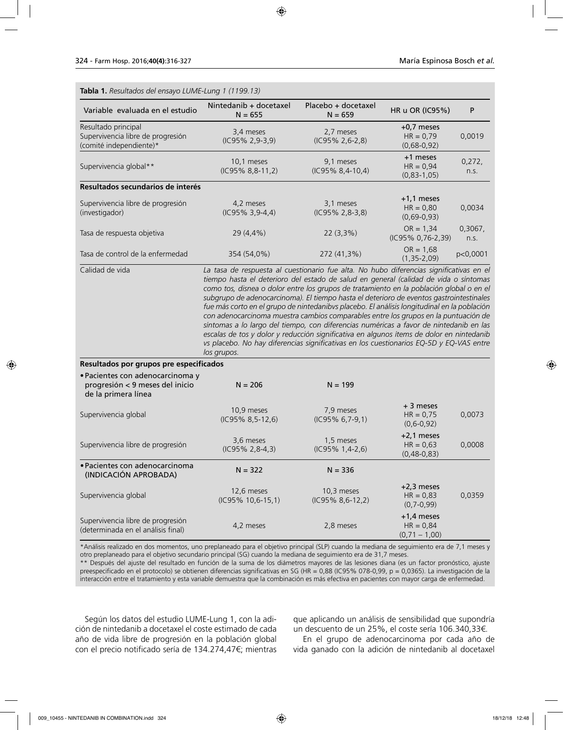| Tabla 1. Resultados del ensayo LUME-Lung 1 (1199.13)                                       |                                                                                                                                                                                                                                                                                                                                                                                     |                                  |                                                 |                 |
|--------------------------------------------------------------------------------------------|-------------------------------------------------------------------------------------------------------------------------------------------------------------------------------------------------------------------------------------------------------------------------------------------------------------------------------------------------------------------------------------|----------------------------------|-------------------------------------------------|-----------------|
| Variable evaluada en el estudio                                                            | Nintedanib + docetaxel<br>$N = 655$                                                                                                                                                                                                                                                                                                                                                 | Placebo + docetaxel<br>$N = 659$ | HR u OR (IC95%)                                 | P               |
| Resultado principal<br>Supervivencia libre de progresión<br>(comité independiente)*        | 3,4 meses<br>(IC95% 2,9-3,9)                                                                                                                                                                                                                                                                                                                                                        | 2,7 meses<br>(IC95% 2,6-2,8)     | $+0,7$ meses<br>$HR = 0,79$<br>$(0,68-0,92)$    | 0,0019          |
| Supervivencia global**                                                                     | 10,1 meses<br>(IC95% 8,8-11,2)                                                                                                                                                                                                                                                                                                                                                      | 9,1 meses<br>(IC95% 8,4-10,4)    | +1 meses<br>$HR = 0.94$<br>$(0, 83 - 1, 05)$    | 0,272,<br>n.s.  |
| Resultados secundarios de interés                                                          |                                                                                                                                                                                                                                                                                                                                                                                     |                                  |                                                 |                 |
| Supervivencia libre de progresión<br>(investigador)                                        | 4,2 meses<br>$(IC95\% 3, 9-4, 4)$                                                                                                                                                                                                                                                                                                                                                   | 3,1 meses<br>(IC95% 2,8-3,8)     | $+1,1$ meses<br>$HR = 0,80$<br>$(0,69-0,93)$    | 0,0034          |
| Tasa de respuesta objetiva                                                                 | 29 (4,4%)                                                                                                                                                                                                                                                                                                                                                                           | 22 (3,3%)                        | $OR = 1,34$<br>(IC95% 0,76-2,39)                | 0,3067,<br>n.s. |
| Tasa de control de la enfermedad                                                           | 354 (54,0%)                                                                                                                                                                                                                                                                                                                                                                         | 272 (41,3%)                      | $OR = 1,68$<br>$(1, 35 - 2, 09)$                | p<0,0001        |
|                                                                                            | con adenocarcinoma muestra cambios comparables entre los grupos en la puntuación de<br>síntomas a lo largo del tiempo, con diferencias numéricas a favor de nintedanib en las<br>escalas de tos y dolor y reducción significativa en algunos ítems de dolor en nintedanib<br>vs placebo. No hay diferencias significativas en los cuestionarios EQ-5D y EQ-VAS entre<br>los grupos. |                                  |                                                 |                 |
| Resultados por grupos pre especificados                                                    |                                                                                                                                                                                                                                                                                                                                                                                     |                                  |                                                 |                 |
| · Pacientes con adenocarcinoma y<br>progresión < 9 meses del inicio<br>de la primera línea | $N = 206$                                                                                                                                                                                                                                                                                                                                                                           | $N = 199$                        |                                                 |                 |
| Supervivencia global                                                                       | 10,9 meses<br>$(IC95\% 8, 5-12, 6)$                                                                                                                                                                                                                                                                                                                                                 | 7,9 meses<br>(IC95% 6,7-9,1)     | $+3$ meses<br>$HR = 0.75$<br>$(0,6-0,92)$       | 0,0073          |
| Supervivencia libre de progresión                                                          | 3,6 meses<br>$(IC95\% 2, 8-4, 3)$                                                                                                                                                                                                                                                                                                                                                   | 1,5 meses<br>(IC95% 1,4-2,6)     | $+2,1$ meses<br>$HR = 0,63$<br>$(0,48-0,83)$    | 0,0008          |
| · Pacientes con adenocarcinoma<br>(INDICACIÓN APROBADA)                                    | $N = 322$                                                                                                                                                                                                                                                                                                                                                                           | $N = 336$                        |                                                 |                 |
| Supervivencia global                                                                       | 12,6 meses<br>(IC95% 10,6-15,1)                                                                                                                                                                                                                                                                                                                                                     | 10,3 meses<br>(IC95% 8,6-12,2)   | $+2,3$ meses<br>$HR = 0,83$<br>$(0, 7 - 0, 99)$ | 0,0359          |
| Supervivencia libre de progresión<br>(determinada en el análisis final)                    | 4,2 meses                                                                                                                                                                                                                                                                                                                                                                           | 2,8 meses                        | $+1,4$ meses<br>$HR = 0,84$<br>$(0,71 - 1,00)$  |                 |

\*Análisis realizado en dos momentos, uno preplaneado para el objetivo principal (SLP) cuando la mediana de seguimiento era de 7,1 meses y otro preplaneado para el objetivo secundario principal (SG) cuando la mediana de seguimiento era de 31,7 meses.

\*\* Después del ajuste del resultado en función de la suma de los diámetros mayores de las lesiones diana (es un factor pronóstico, ajuste preespecificado en el protocolo) se obtienen diferencias significativas en SG (HR = 0,88 (IC95% 078-0,99, p = 0,0365). La investigación de la interacción entre el tratamiento y esta variable demuestra que la combinación es más efectiva en pacientes con mayor carga de enfermedad.

Según los datos del estudio LUME-Lung 1, con la adición de nintedanib a docetaxel el coste estimado de cada año de vida libre de progresión en la población global con el precio notificado sería de 134.274,47€; mientras

que aplicando un análisis de sensibilidad que supondría un descuento de un 25%, el coste sería 106.340,33€.

En el grupo de adenocarcinoma por cada año de vida ganado con la adición de nintedanib al docetaxel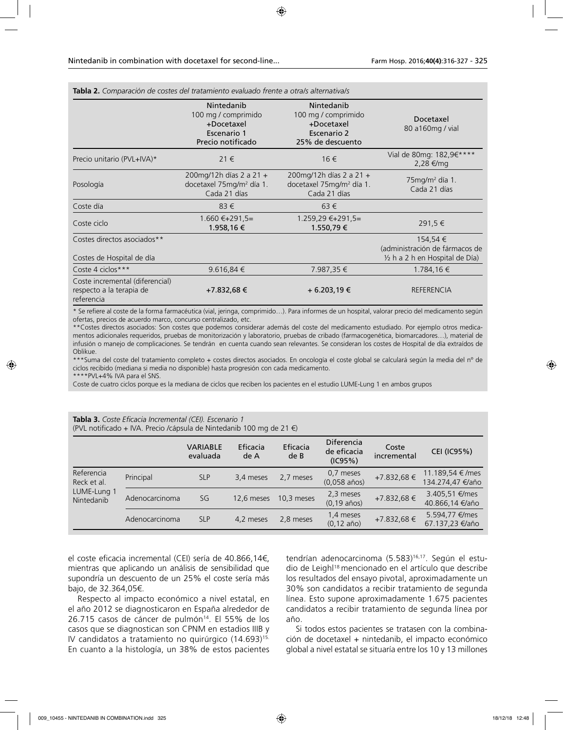| Tabla 2. Comparación de costes del tratamiento evaluado frente a otrals alternativals             |                                                                                     |                                                                                                                                                                                                                               |                                                                                         |
|---------------------------------------------------------------------------------------------------|-------------------------------------------------------------------------------------|-------------------------------------------------------------------------------------------------------------------------------------------------------------------------------------------------------------------------------|-----------------------------------------------------------------------------------------|
|                                                                                                   | Nintedanib<br>100 mg / comprimido<br>+Docetaxel<br>Escenario 1<br>Precio notificado | Nintedanib<br>100 mg / comprimido<br>+Docetaxel<br>Escenario 2<br>25% de descuento                                                                                                                                            | Docetaxel<br>80 a160mg / vial                                                           |
| Precio unitario (PVL+IVA)*                                                                        | $21 \in$                                                                            | 16 €                                                                                                                                                                                                                          | Vial de 80mg: 182,9€****<br>2,28 €/mg                                                   |
| Posología                                                                                         | 200mg/12h días 2 a 21 +<br>docetaxel 75mg/m <sup>2</sup> día 1.<br>Cada 21 días     | 200mg/12h días 2 a 21 +<br>docetaxel 75mg/m <sup>2</sup> día 1.<br>Cada 21 días                                                                                                                                               | $75$ mg/m <sup>2</sup> día 1.<br>Cada 21 días                                           |
| Coste día                                                                                         | 83€                                                                                 | $63 \in$                                                                                                                                                                                                                      |                                                                                         |
| Coste ciclo                                                                                       | $1.660 \in +291.5=$<br>1.958,16 €                                                   | 1.259,29 €+291,5=<br>1.550,79 €                                                                                                                                                                                               | 291,5 €                                                                                 |
| Costes directos asociados**<br>Costes de Hospital de día                                          |                                                                                     |                                                                                                                                                                                                                               | 154,54 €<br>(administración de fármacos de<br>$\frac{1}{2}$ h a 2 h en Hospital de Día) |
| Coste 4 ciclos***                                                                                 | $9.616,84 \in$                                                                      | 7.987,35 €                                                                                                                                                                                                                    | 1.784,16€                                                                               |
| Coste incremental (diferencial)<br>respecto a la terapia de<br>referencia                         | +7.832,68 €                                                                         | + 6.203,19 €                                                                                                                                                                                                                  | <b>REFERENCIA</b>                                                                       |
| a α control of course the force of consideration for the control of the state of the state of the |                                                                                     | the state of the problem for a contract of the contract of the contract of the state of the state of the state of the state of the state of the state of the state of the state of the state of the state of the state of the | at a substitution of the co-                                                            |

\* Se refiere al coste de la forma farmacéutica (vial, jeringa, comprimido…). Para informes de un hospital, valorar precio del medicamento según ofertas, precios de acuerdo marco, concurso centralizado, etc.

\*\*Costes directos asociados: Son costes que podemos considerar además del coste del medicamento estudiado. Por ejemplo otros medicamentos adicionales requeridos, pruebas de monitorización y laboratorio, pruebas de cribado (farmacogenética, biomarcadores…), material de infusión o manejo de complicaciones. Se tendrán en cuenta cuando sean relevantes. Se consideran los costes de Hospital de día extraídos de Oblikue.

\*\*\*Suma del coste del tratamiento completo + costes directos asociados. En oncología el coste global se calculará según la media del nº de ciclos recibido (mediana si media no disponible) hasta progresión con cada medicamento. \*\*PVL+4% IVA para el SNS.

Coste de cuatro ciclos porque es la mediana de ciclos que reciben los pacientes en el estudio LUME-Lung 1 en ambos grupos

| Tabla 3. Coste Eficacia Incremental (CEI). Escenario 1                    |  |
|---------------------------------------------------------------------------|--|
| (PVL notificado + IVA. Precio /cápsula de Nintedanib 100 mg de 21 $\in$ ) |  |

|                                                        |                | <b>VARIABLE</b><br>evaluada | Eficacia<br>de A | Eficacia<br>de <sub>B</sub> | <b>Diferencia</b><br>de eficacia<br>(IC95%) | Coste<br>incremental | <b>CEI (IC95%)</b>                  |
|--------------------------------------------------------|----------------|-----------------------------|------------------|-----------------------------|---------------------------------------------|----------------------|-------------------------------------|
| Referencia<br>Reck et al.<br>LUME-Lung 1<br>Nintedanib | Principal      | <b>SLP</b>                  | 3,4 meses        | 2,7 meses                   | 0,7 meses<br>$(0,058 \text{ años})$         | +7.832,68 €          | 11 189,54 €/mes<br>134.274,47 €/año |
|                                                        | Adenocarcinoma | SG                          | 12,6 meses       | 10,3 meses                  | 2,3 meses<br>$(0, 19 \text{ años})$         | $+7.832,68 \in$      | 3.405,51 €/mes<br>40.866,14 €/año   |
|                                                        | Adenocarcinoma | <b>SLP</b>                  | 4,2 meses        | 2,8 meses                   | 1,4 meses<br>$(0, 12 \text{ año})$          | $+7.832,68 \in$      | 5.594,77 €/mes<br>67.137,23 €/año   |

el coste eficacia incremental (CEI) sería de 40.866,14€, mientras que aplicando un análisis de sensibilidad que supondría un descuento de un 25% el coste sería más bajo, de 32.364,05€.

Respecto al impacto económico a nivel estatal, en el año 2012 se diagnosticaron en España alrededor de 26.715 casos de cáncer de pulmón<sup>14</sup>. El 55% de los casos que se diagnostican son CPNM en estadios IIIB y IV candidatos a tratamiento no quirúrgico (14.693)<sup>15.</sup> En cuanto a la histología, un 38% de estos pacientes

tendrían adenocarcinoma (5.583)<sup>16,17</sup>. Según el estudio de Leighl18 mencionado en el artículo que describe los resultados del ensayo pivotal, aproximadamente un 30% son candidatos a recibir tratamiento de segunda línea. Esto supone aproximadamente 1.675 pacientes candidatos a recibir tratamiento de segunda línea por año.

Si todos estos pacientes se tratasen con la combinación de docetaxel + nintedanib, el impacto económico global a nivel estatal se situaría entre los 10 y 13 millones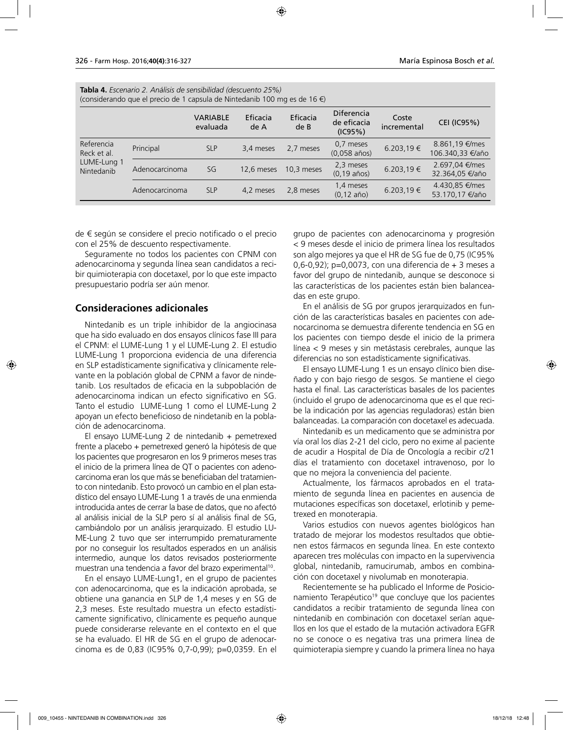| <b>Tabla 4.</b> Escenario 2. Análisis de sensibilidad (descuento 25%)<br>(considerando que el precio de 1 capsula de Nintedanib 100 mg es de 16 €) |                |                             |                  |                             |                                             |                      |                                    |  |  |
|----------------------------------------------------------------------------------------------------------------------------------------------------|----------------|-----------------------------|------------------|-----------------------------|---------------------------------------------|----------------------|------------------------------------|--|--|
|                                                                                                                                                    |                | <b>VARIABLE</b><br>evaluada | Eficacia<br>de A | Eficacia<br>de <sub>B</sub> | <b>Diferencia</b><br>de eficacia<br>(IC95%) | Coste<br>incremental | <b>CEI (IC95%)</b>                 |  |  |
| Referencia<br>Reck et al.<br>LUME-Lung 1<br>Nintedanib                                                                                             | Principal      | <b>SLP</b>                  | 3,4 meses        | 2,7 meses                   | 0,7 meses<br>$(0.058 \text{ años})$         | 6.203,19€            | 8.861,19 €/mes<br>106.340,33 €/año |  |  |
|                                                                                                                                                    | Adenocarcinoma | SG                          | 12,6 meses       | 10,3 meses                  | 2,3 meses<br>$(0, 19 \text{ años})$         | 6.203,19€            | 2.697,04 €/mes<br>32.364,05 €/año  |  |  |
|                                                                                                                                                    | Adenocarcinoma | <b>SLP</b>                  | 4,2 meses        | 2,8 meses                   | 1,4 meses<br>$(0, 12 \text{ año})$          | 6.203,19€            | 4.430,85 €/mes<br>53.170,17 €/año  |  |  |

de € según se considere el precio notificado o el precio con el 25% de descuento respectivamente.

Seguramente no todos los pacientes con CPNM con adenocarcinoma y segunda línea sean candidatos a recibir quimioterapia con docetaxel, por lo que este impacto presupuestario podría ser aún menor.

### **Consideraciones adicionales**

Nintedanib es un triple inhibidor de la angiocinasa que ha sido evaluado en dos ensayos clínicos fase III para el CPNM: el LUME-Lung 1 y el LUME-Lung 2. El estudio LUME-Lung 1 proporciona evidencia de una diferencia en SLP estadísticamente significativa y clínicamente relevante en la población global de CPNM a favor de nindetanib. Los resultados de eficacia en la subpoblación de adenocarcinoma indican un efecto significativo en SG. Tanto el estudio LUME-Lung 1 como el LUME-Lung 2 apoyan un efecto beneficioso de nindetanib en la población de adenocarcinoma.

El ensayo LUME-Lung 2 de nintedanib  $+$  pemetrexed frente a placebo + pemetrexed generó la hipótesis de que los pacientes que progresaron en los 9 primeros meses tras el inicio de la primera línea de QT o pacientes con adenocarcinoma eran los que más se beneficiaban del tratamiento con nintedanib. Esto provocó un cambio en el plan estadístico del ensayo LUME-Lung 1 a través de una enmienda introducida antes de cerrar la base de datos, que no afectó al análisis inicial de la SLP pero sí al análisis final de SG, cambiándolo por un análisis jerarquizado. El estudio LU-ME-Lung 2 tuvo que ser interrumpido prematuramente por no conseguir los resultados esperados en un análisis intermedio, aunque los datos revisados posteriormente muestran una tendencia a favor del brazo experimental10.

En el ensayo LUME-Lung1, en el grupo de pacientes con adenocarcinoma, que es la indicación aprobada, se obtiene una ganancia en SLP de 1,4 meses y en SG de 2,3 meses. Este resultado muestra un efecto estadísticamente significativo, clínicamente es pequeño aunque puede considerarse relevante en el contexto en el que se ha evaluado. El HR de SG en el grupo de adenocarcinoma es de 0,83 (IC95% 0,7-0,99); p=0,0359. En el grupo de pacientes con adenocarcinoma y progresión < 9 meses desde el inicio de primera línea los resultados son algo mejores ya que el HR de SG fue de 0,75 (IC95% 0,6-0,92); p=0,0073, con una diferencia de + 3 meses a favor del grupo de nintedanib, aunque se desconoce si las características de los pacientes están bien balanceadas en este grupo.

En el análisis de SG por grupos jerarquizados en función de las características basales en pacientes con adenocarcinoma se demuestra diferente tendencia en SG en los pacientes con tiempo desde el inicio de la primera línea < 9 meses y sin metástasis cerebrales, aunque las diferencias no son estadísticamente significativas.

El ensayo LUME-Lung 1 es un ensayo clínico bien diseñado y con bajo riesgo de sesgos. Se mantiene el ciego hasta el final. Las características basales de los pacientes (incluido el grupo de adenocarcinoma que es el que recibe la indicación por las agencias reguladoras) están bien balanceadas. La comparación con docetaxel es adecuada.

Nintedanib es un medicamento que se administra por vía oral los días 2-21 del ciclo, pero no exime al paciente de acudir a Hospital de Día de Oncología a recibir c/21 días el tratamiento con docetaxel intravenoso, por lo que no mejora la conveniencia del paciente.

Actualmente, los fármacos aprobados en el tratamiento de segunda línea en pacientes en ausencia de mutaciones específicas son docetaxel, erlotinib y pemetrexed en monoterapia.

Varios estudios con nuevos agentes biológicos han tratado de mejorar los modestos resultados que obtienen estos fármacos en segunda línea. En este contexto aparecen tres moléculas con impacto en la supervivencia global, nintedanib, ramucirumab, ambos en combinación con docetaxel y nivolumab en monoterapia.

Recientemente se ha publicado el Informe de Posicionamiento Terapéutico<sup>19</sup> que concluye que los pacientes candidatos a recibir tratamiento de segunda línea con nintedanib en combinación con docetaxel serían aquellos en los que el estado de la mutación activadora EGFR no se conoce o es negativa tras una primera línea de quimioterapia siempre y cuando la primera línea no haya